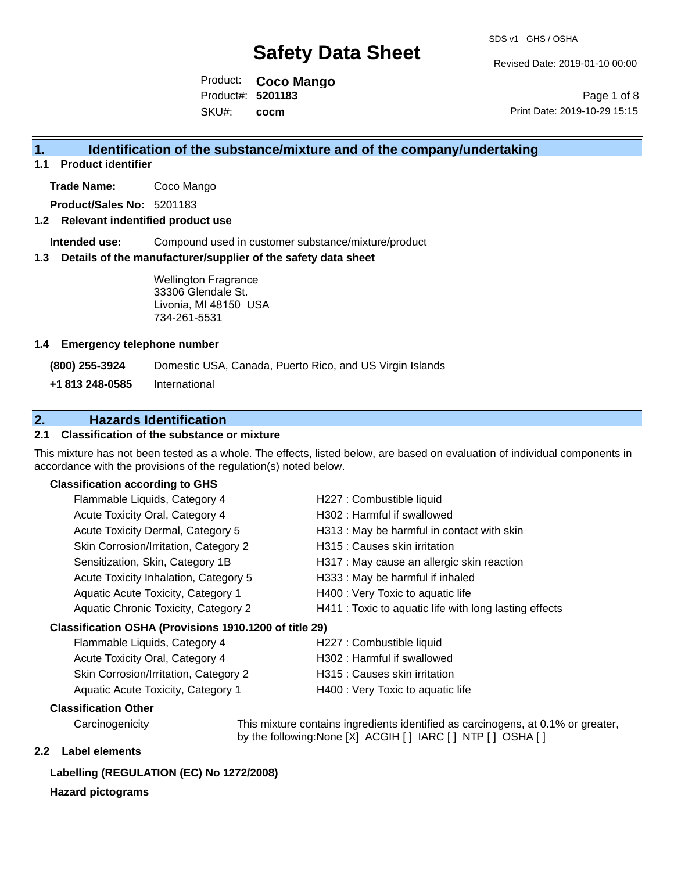Revised Date: 2019-01-10 00:00

Product: **Coco Mango** SKU#: Product#: **5201183 cocm**

Page 1 of 8 Print Date: 2019-10-29 15:15

### **1. Identification of the substance/mixture and of the company/undertaking**

### **1.1 Product identifier**

**Trade Name:** Coco Mango

**Product/Sales No:** 5201183

### **1.2 Relevant indentified product use**

**Intended use:** Compound used in customer substance/mixture/product

#### **1.3 Details of the manufacturer/supplier of the safety data sheet**

Wellington Fragrance 33306 Glendale St. Livonia, MI 48150 USA 734-261-5531

#### **1.4 Emergency telephone number**

**(800) 255-3924** Domestic USA, Canada, Puerto Rico, and US Virgin Islands

**+1 813 248-0585** International

### **2. Hazards Identification**

### **2.1 Classification of the substance or mixture**

This mixture has not been tested as a whole. The effects, listed below, are based on evaluation of individual components in accordance with the provisions of the regulation(s) noted below.

### **Classification according to GHS**

| Flammable Liquids, Category 4                          | H227 : Combustible liquid                              |
|--------------------------------------------------------|--------------------------------------------------------|
| Acute Toxicity Oral, Category 4                        | H302: Harmful if swallowed                             |
| Acute Toxicity Dermal, Category 5                      | H313 : May be harmful in contact with skin             |
| Skin Corrosion/Irritation, Category 2                  | H315 : Causes skin irritation                          |
| Sensitization, Skin, Category 1B                       | H317 : May cause an allergic skin reaction             |
| Acute Toxicity Inhalation, Category 5                  | H333: May be harmful if inhaled                        |
| Aquatic Acute Toxicity, Category 1                     | H400 : Very Toxic to aquatic life                      |
| Aquatic Chronic Toxicity, Category 2                   | H411 : Toxic to aquatic life with long lasting effects |
| Classification OSHA (Provisions 1910.1200 of title 29) |                                                        |

### Flammable Liquids, Category 4 H227 : Combustible liquid Acute Toxicity Oral, Category 4 H302 : Harmful if swallowed Skin Corrosion/Irritation, Category 2 H315 : Causes skin irritation Aquatic Acute Toxicity, Category 1 H400 : Very Toxic to aquatic life

### **Classification Other**

Carcinogenicity This mixture contains ingredients identified as carcinogens, at 0.1% or greater, by the following:None [X] ACGIH [ ] IARC [ ] NTP [ ] OSHA [ ]

### **2.2 Label elements**

### **Labelling (REGULATION (EC) No 1272/2008)**

### **Hazard pictograms**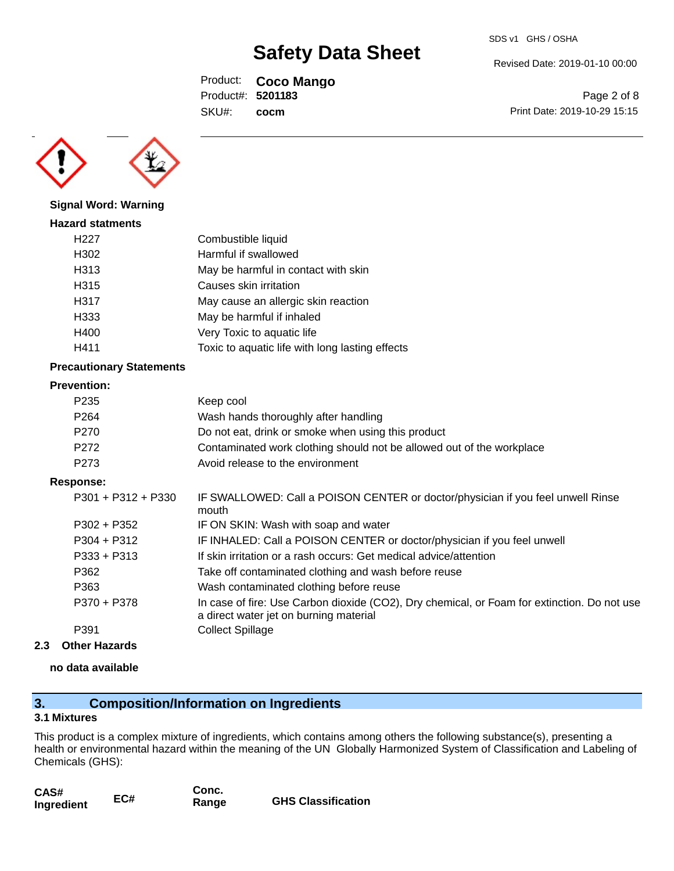Revised Date: 2019-01-10 00:00

Product: **Coco Mango** SKU#: Product#: **5201183 cocm**

Page 2 of 8 Print Date: 2019-10-29 15:15



### **Signal Word: Warning**

| <b>Hazard statments</b> |                                                 |
|-------------------------|-------------------------------------------------|
| H <sub>22</sub> 7       | Combustible liquid                              |
| H302                    | Harmful if swallowed                            |
| H313                    | May be harmful in contact with skin             |
| H315                    | Causes skin irritation                          |
| H317                    | May cause an allergic skin reaction             |
| H333                    | May be harmful if inhaled                       |
| H400                    | Very Toxic to aquatic life                      |
| H411                    | Toxic to aquatic life with long lasting effects |

### **Precautionary Statements**

### **Prevention:**

| P <sub>235</sub> | Keep cool                                                             |
|------------------|-----------------------------------------------------------------------|
| P <sub>264</sub> | Wash hands thoroughly after handling                                  |
| P <sub>270</sub> | Do not eat, drink or smoke when using this product                    |
| P <sub>272</sub> | Contaminated work clothing should not be allowed out of the workplace |
| P273             | Avoid release to the environment                                      |

### **Response:**

| P301 + P312 + P330 | IF SWALLOWED: Call a POISON CENTER or doctor/physician if you feel unwell Rinse<br>mouth                                              |
|--------------------|---------------------------------------------------------------------------------------------------------------------------------------|
| $P302 + P352$      | IF ON SKIN: Wash with soap and water                                                                                                  |
| $P304 + P312$      | IF INHALED: Call a POISON CENTER or doctor/physician if you feel unwell                                                               |
| $P333 + P313$      | If skin irritation or a rash occurs: Get medical advice/attention                                                                     |
| P362               | Take off contaminated clothing and wash before reuse                                                                                  |
| P363               | Wash contaminated clothing before reuse                                                                                               |
| P370 + P378        | In case of fire: Use Carbon dioxide (CO2), Dry chemical, or Foam for extinction. Do not use<br>a direct water jet on burning material |
| P391               | <b>Collect Spillage</b>                                                                                                               |
|                    |                                                                                                                                       |

### **2.3 Other Hazards**

### **no data available**

### **3. Composition/Information on Ingredients**

### **3.1 Mixtures**

This product is a complex mixture of ingredients, which contains among others the following substance(s), presenting a health or environmental hazard within the meaning of the UN Globally Harmonized System of Classification and Labeling of Chemicals (GHS):

| CAS#       |     | Conc. |                           |
|------------|-----|-------|---------------------------|
| Ingredient | EC# | Range | <b>GHS Classification</b> |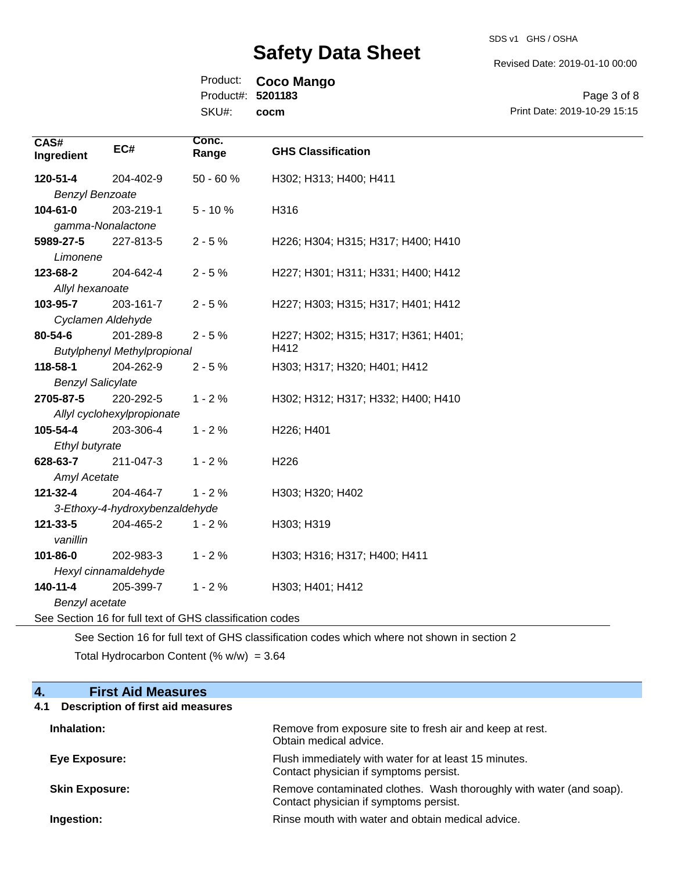SDS v1 GHS / OSHA

Revised Date: 2019-01-10 00:00

Product: **Coco Mango**

**SKI** Product#: **5201183**

| , JUUCI#. JZUTT |      |
|-----------------|------|
| U#:             | cocm |

Page 3 of 8 Print Date: 2019-10-29 15:15

| CAS#<br>Ingredient                                       | EC#                                | Conc.<br>Range | <b>GHS Classification</b>           |
|----------------------------------------------------------|------------------------------------|----------------|-------------------------------------|
| 120-51-4                                                 | 204-402-9                          | $50 - 60%$     | H302; H313; H400; H411              |
| <b>Benzyl Benzoate</b>                                   |                                    |                |                                     |
| 104-61-0                                                 | 203-219-1                          | $5 - 10%$      | H316                                |
| gamma-Nonalactone                                        |                                    |                |                                     |
| 5989-27-5                                                | 227-813-5                          | $2 - 5%$       | H226; H304; H315; H317; H400; H410  |
| Limonene                                                 |                                    |                |                                     |
| 123-68-2                                                 | 204-642-4                          | $2 - 5%$       | H227; H301; H311; H331; H400; H412  |
| Allyl hexanoate                                          |                                    |                |                                     |
| 103-95-7                                                 | 203-161-7                          | $2 - 5%$       | H227; H303; H315; H317; H401; H412  |
| Cyclamen Aldehyde                                        |                                    |                |                                     |
| 80-54-6                                                  | 201-289-8                          | $2 - 5%$       | H227; H302; H315; H317; H361; H401; |
|                                                          | <b>Butylphenyl Methylpropional</b> |                | H412                                |
| 118-58-1                                                 | 204-262-9                          | $2 - 5%$       | H303; H317; H320; H401; H412        |
| <b>Benzyl Salicylate</b>                                 |                                    |                |                                     |
| 2705-87-5                                                | 220-292-5                          | $1 - 2%$       | H302; H312; H317; H332; H400; H410  |
|                                                          | Allyl cyclohexylpropionate         |                |                                     |
| 105-54-4                                                 | 203-306-4                          | $1 - 2%$       | H226; H401                          |
| Ethyl butyrate                                           |                                    |                |                                     |
| 628-63-7                                                 | 211-047-3                          | $1 - 2%$       | H <sub>226</sub>                    |
| <b>Amyl Acetate</b>                                      |                                    |                |                                     |
| 121-32-4                                                 | 204-464-7                          | $1 - 2%$       | H303; H320; H402                    |
| 3-Ethoxy-4-hydroxybenzaldehyde                           |                                    |                |                                     |
| 121-33-5                                                 | 204-465-2                          | $1 - 2%$       | H303; H319                          |
| vanillin                                                 |                                    |                |                                     |
| 101-86-0                                                 | 202-983-3                          | $1 - 2%$       | H303; H316; H317; H400; H411        |
| Hexyl cinnamaldehyde                                     |                                    |                |                                     |
| 140-11-4                                                 | 205-399-7                          | $1 - 2%$       | H303; H401; H412                    |
| Benzyl acetate                                           |                                    |                |                                     |
| See Section 16 for full text of GHS classification codes |                                    |                |                                     |

See Section 16 for full text of GHS classification codes which where not shown in section 2 Total Hydrocarbon Content (%  $w/w$ ) = 3.64

### **4. First Aid Measures**

### **4.1 Description of first aid measures**

| Inhalation:           | Remove from exposure site to fresh air and keep at rest.<br>Obtain medical advice.                            |
|-----------------------|---------------------------------------------------------------------------------------------------------------|
| Eye Exposure:         | Flush immediately with water for at least 15 minutes.<br>Contact physician if symptoms persist.               |
| <b>Skin Exposure:</b> | Remove contaminated clothes. Wash thoroughly with water (and soap).<br>Contact physician if symptoms persist. |
| Ingestion:            | Rinse mouth with water and obtain medical advice.                                                             |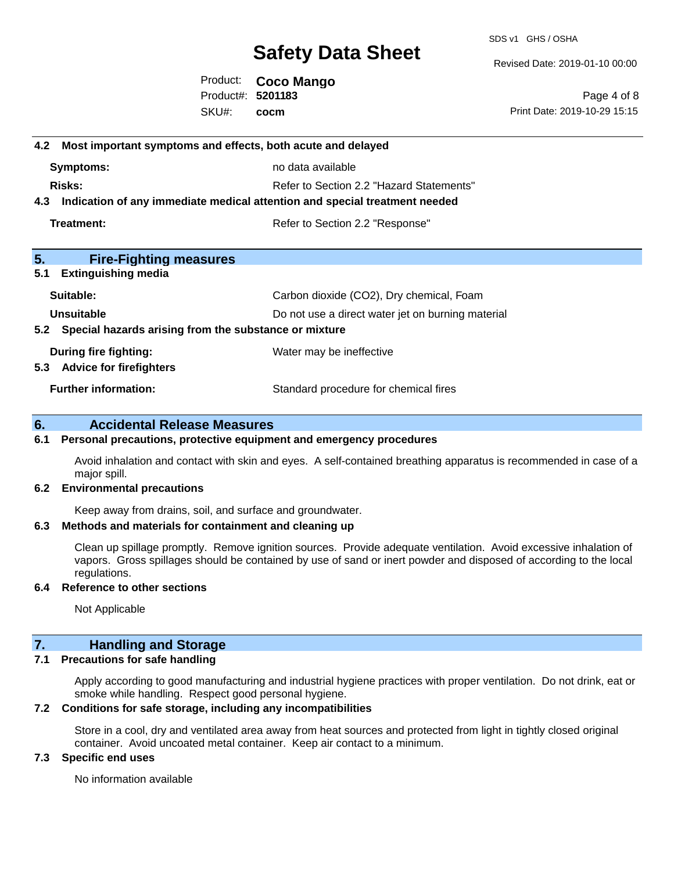SDS v1 GHS / OSHA

Revised Date: 2019-01-10 00:00

Product: **Coco Mango** SKU#: Product#: **5201183 cocm**

Page 4 of 8 Print Date: 2019-10-29 15:15

## **4.2 Most important symptoms and effects, both acute and delayed Symptoms:** no data available **Risks:** Risks: Refer to Section 2.2 "Hazard Statements" **4.3 Indication of any immediate medical attention and special treatment needed Treatment:** Treatment: Treatment: Refer to Section 2.2 "Response" **5. Fire-Fighting measures 5.1 Extinguishing media Suitable:** Carbon dioxide (CO2), Dry chemical, Foam **Unsuitable** Do not use a direct water jet on burning material **5.2 Special hazards arising from the substance or mixture During fire fighting:** Water may be ineffective **5.3 Advice for firefighters Further information:** Standard procedure for chemical fires

### **6. Accidental Release Measures**

### **6.1 Personal precautions, protective equipment and emergency procedures**

Avoid inhalation and contact with skin and eyes. A self-contained breathing apparatus is recommended in case of a major spill.

### **6.2 Environmental precautions**

Keep away from drains, soil, and surface and groundwater.

### **6.3 Methods and materials for containment and cleaning up**

Clean up spillage promptly. Remove ignition sources. Provide adequate ventilation. Avoid excessive inhalation of vapors. Gross spillages should be contained by use of sand or inert powder and disposed of according to the local regulations.

### **6.4 Reference to other sections**

Not Applicable

### **7. Handling and Storage**

### **7.1 Precautions for safe handling**

Apply according to good manufacturing and industrial hygiene practices with proper ventilation. Do not drink, eat or smoke while handling. Respect good personal hygiene.

### **7.2 Conditions for safe storage, including any incompatibilities**

Store in a cool, dry and ventilated area away from heat sources and protected from light in tightly closed original container. Avoid uncoated metal container. Keep air contact to a minimum.

### **7.3 Specific end uses**

No information available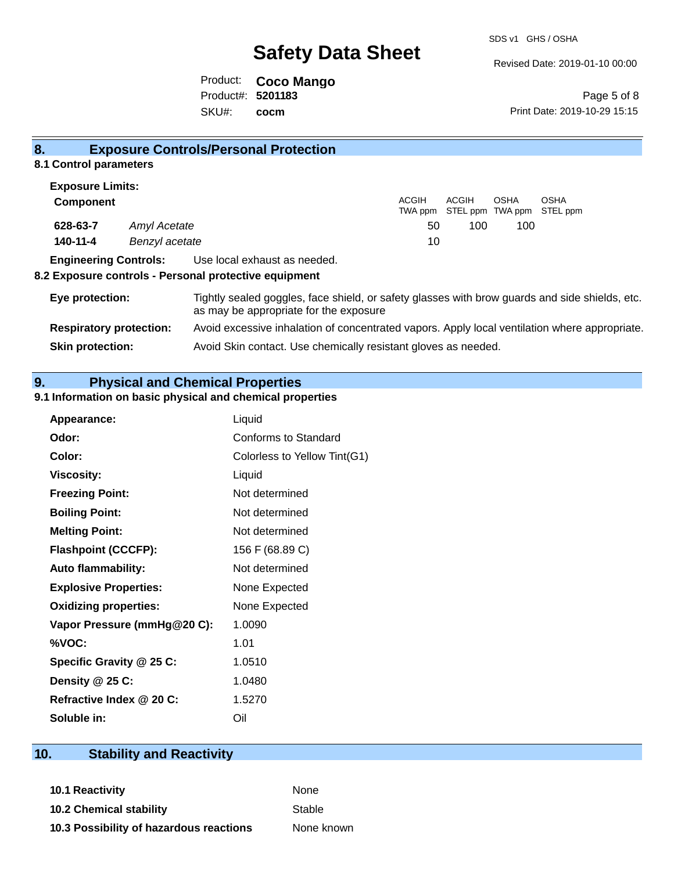Revised Date: 2019-01-10 00:00

Product: **Coco Mango** SKU#: Product#: **5201183 cocm**

**Skin protection:** Avoid Skin contact. Use chemically resistant gloves as needed.

Page 5 of 8 Print Date: 2019-10-29 15:15

| 8.               |                                | <b>Exposure Controls/Personal Protection</b>                                                                                             |                  |                           |      |                         |  |
|------------------|--------------------------------|------------------------------------------------------------------------------------------------------------------------------------------|------------------|---------------------------|------|-------------------------|--|
|                  | 8.1 Control parameters         |                                                                                                                                          |                  |                           |      |                         |  |
|                  | <b>Exposure Limits:</b>        |                                                                                                                                          |                  |                           |      |                         |  |
| <b>Component</b> |                                |                                                                                                                                          | ACGIH<br>TWA ppm | ACGIH<br>STEL ppm TWA ppm | OSHA | <b>OSHA</b><br>STEL ppm |  |
| 628-63-7         |                                | Amyl Acetate                                                                                                                             | 50               | 100                       | 100  |                         |  |
| 140-11-4         |                                | Benzyl acetate                                                                                                                           | 10               |                           |      |                         |  |
|                  | <b>Engineering Controls:</b>   | Use local exhaust as needed.<br>8.2 Exposure controls - Personal protective equipment                                                    |                  |                           |      |                         |  |
| Eye protection:  |                                | Tightly sealed goggles, face shield, or safety glasses with brow guards and side shields, etc.<br>as may be appropriate for the exposure |                  |                           |      |                         |  |
|                  | <b>Respiratory protection:</b> | Avoid excessive inhalation of concentrated vapors. Apply local ventilation where appropriate.                                            |                  |                           |      |                         |  |

**9. Physical and Chemical Properties** 

### **9.1 Information on basic physical and chemical properties**

| Appearance:                  | Liquid                       |
|------------------------------|------------------------------|
| Odor:                        | Conforms to Standard         |
| Color:                       | Colorless to Yellow Tint(G1) |
| <b>Viscosity:</b>            | Liquid                       |
| <b>Freezing Point:</b>       | Not determined               |
| <b>Boiling Point:</b>        | Not determined               |
| <b>Melting Point:</b>        | Not determined               |
| <b>Flashpoint (CCCFP):</b>   | 156 F (68.89 C)              |
| <b>Auto flammability:</b>    | Not determined               |
| <b>Explosive Properties:</b> | None Expected                |
| <b>Oxidizing properties:</b> | None Expected                |
| Vapor Pressure (mmHg@20 C):  | 1.0090                       |
| %VOC:                        | 1.01                         |
| Specific Gravity @ 25 C:     | 1.0510                       |
| Density @ 25 C:              | 1.0480                       |
| Refractive Index @ 20 C:     | 1.5270                       |
| Soluble in:                  | Oil                          |

### **10. Stability and Reactivity**

**10.1 Reactivity** None **10.2 Chemical stability** Stable **10.3 Possibility of hazardous reactions** None known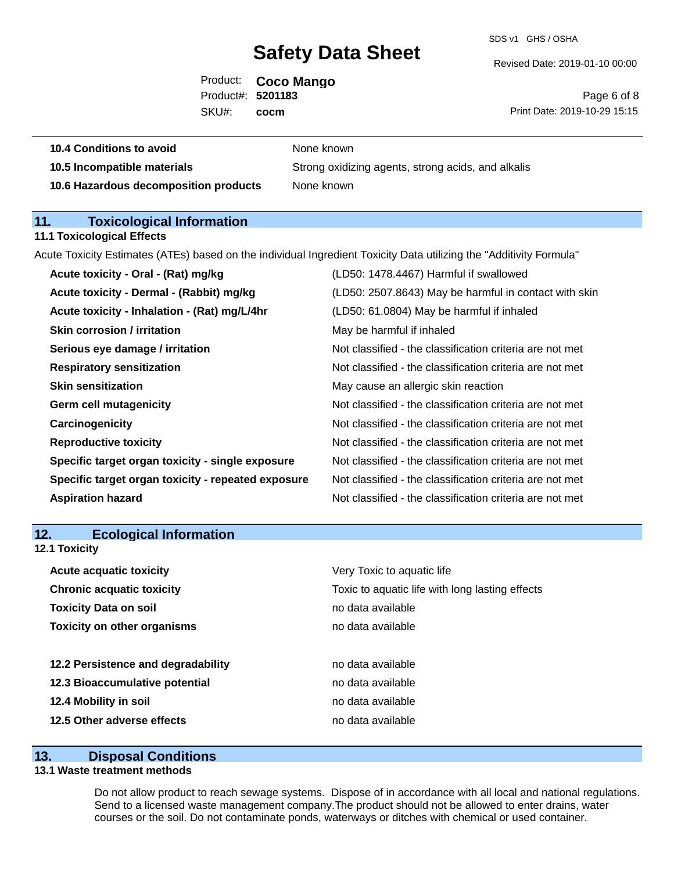SDS v1 GHS / OSHA

Revised Date: 2019-01-10 00:00

Product: **Coco Mango** SKU#: Product#: **5201183 cocm**

Page 6 of 8 Print Date: 2019-10-29 15:15

| 10.4 Conditions to avoid              | None known                                         |
|---------------------------------------|----------------------------------------------------|
| 10.5 Incompatible materials           | Strong oxidizing agents, strong acids, and alkalis |
| 10.6 Hazardous decomposition products | None known                                         |

### **11. Toxicological Information**

**11.1 Toxicological Effects**

Acute Toxicity Estimates (ATEs) based on the individual Ingredient Toxicity Data utilizing the "Additivity Formula"

| Acute toxicity - Oral - (Rat) mg/kg                | (LD50: 1478.4467) Harmful if swallowed                   |
|----------------------------------------------------|----------------------------------------------------------|
| Acute toxicity - Dermal - (Rabbit) mg/kg           | (LD50: 2507.8643) May be harmful in contact with skin    |
| Acute toxicity - Inhalation - (Rat) mg/L/4hr       | (LD50: 61.0804) May be harmful if inhaled                |
| <b>Skin corrosion / irritation</b>                 | May be harmful if inhaled                                |
| Serious eye damage / irritation                    | Not classified - the classification criteria are not met |
| <b>Respiratory sensitization</b>                   | Not classified - the classification criteria are not met |
| <b>Skin sensitization</b>                          | May cause an allergic skin reaction                      |
| <b>Germ cell mutagenicity</b>                      | Not classified - the classification criteria are not met |
| Carcinogenicity                                    | Not classified - the classification criteria are not met |
| <b>Reproductive toxicity</b>                       | Not classified - the classification criteria are not met |
| Specific target organ toxicity - single exposure   | Not classified - the classification criteria are not met |
| Specific target organ toxicity - repeated exposure | Not classified - the classification criteria are not met |
| <b>Aspiration hazard</b>                           | Not classified - the classification criteria are not met |

### **12. Ecological Information**

**12.1 Toxicity**

| <b>Acute acquatic toxicity</b>     | Very Toxic to aquatic life                      |
|------------------------------------|-------------------------------------------------|
| <b>Chronic acquatic toxicity</b>   | Toxic to aquatic life with long lasting effects |
| <b>Toxicity Data on soil</b>       | no data available                               |
| <b>Toxicity on other organisms</b> | no data available                               |
|                                    |                                                 |
| 12.2 Persistence and degradability | no data available                               |
| 12.3 Bioaccumulative potential     | no data available                               |
| 12.4 Mobility in soil              | no data available                               |
| 12.5 Other adverse effects         | no data available                               |

### **13. Disposal Conditions**

### **13.1 Waste treatment methods**

Do not allow product to reach sewage systems. Dispose of in accordance with all local and national regulations. Send to a licensed waste management company.The product should not be allowed to enter drains, water courses or the soil. Do not contaminate ponds, waterways or ditches with chemical or used container.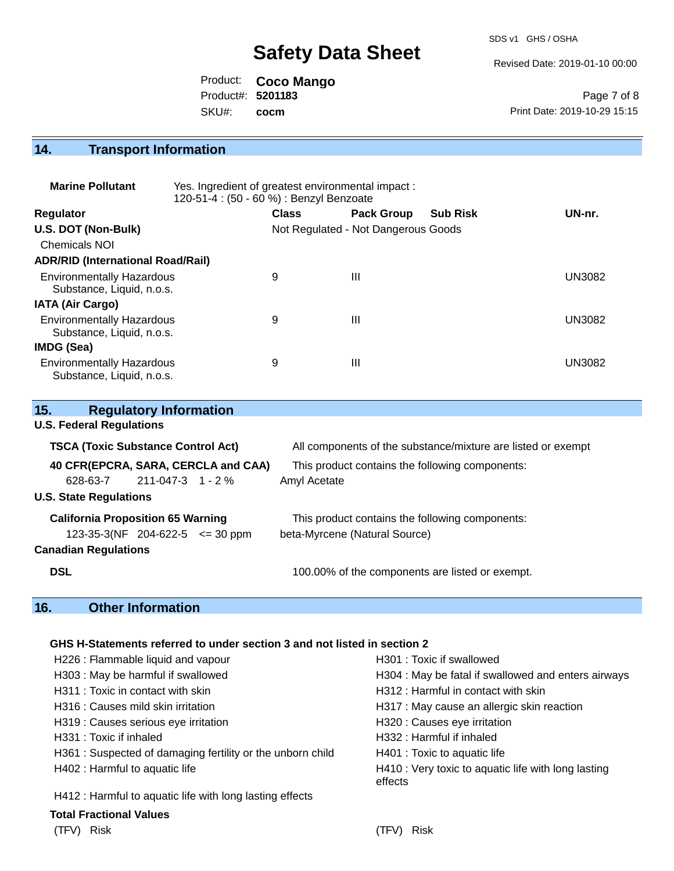SDS v1 GHS / OSHA

Revised Date: 2019-01-10 00:00

Product: **Coco Mango** SKU#: Product#: **5201183 cocm**

Page 7 of 8 Print Date: 2019-10-29 15:15

### **14. Transport Information**

| <b>Marine Pollutant</b>                                       | Yes. Ingredient of greatest environmental impact:<br>120-51-4 : (50 - 60 %) : Benzyl Benzoate |              |                                     |                 |               |
|---------------------------------------------------------------|-----------------------------------------------------------------------------------------------|--------------|-------------------------------------|-----------------|---------------|
| <b>Regulator</b>                                              |                                                                                               | <b>Class</b> | <b>Pack Group</b>                   | <b>Sub Risk</b> | UN-nr.        |
| U.S. DOT (Non-Bulk)                                           |                                                                                               |              | Not Regulated - Not Dangerous Goods |                 |               |
| Chemicals NOI                                                 |                                                                                               |              |                                     |                 |               |
| <b>ADR/RID (International Road/Rail)</b>                      |                                                                                               |              |                                     |                 |               |
| <b>Environmentally Hazardous</b><br>Substance, Liquid, n.o.s. |                                                                                               | 9            | Ш                                   |                 | <b>UN3082</b> |
| <b>IATA (Air Cargo)</b>                                       |                                                                                               |              |                                     |                 |               |
| <b>Environmentally Hazardous</b><br>Substance, Liquid, n.o.s. |                                                                                               | 9            | Ш                                   |                 | UN3082        |
| IMDG (Sea)                                                    |                                                                                               |              |                                     |                 |               |
| <b>Environmentally Hazardous</b><br>Substance, Liquid, n.o.s. |                                                                                               | 9            | Ш                                   |                 | UN3082        |

| 15.        |                                 | <b>Regulatory Information</b>             |                                     |                                                              |
|------------|---------------------------------|-------------------------------------------|-------------------------------------|--------------------------------------------------------------|
|            | <b>U.S. Federal Regulations</b> |                                           |                                     |                                                              |
|            |                                 | <b>TSCA (Toxic Substance Control Act)</b> |                                     | All components of the substance/mixture are listed or exempt |
|            |                                 |                                           | 40 CFR(EPCRA, SARA, CERCLA and CAA) | This product contains the following components:              |
|            | 628-63-7                        | 211-047-3 1 - 2 %                         |                                     | Amyl Acetate                                                 |
|            | <b>U.S. State Regulations</b>   |                                           |                                     |                                                              |
|            |                                 | <b>California Proposition 65 Warning</b>  |                                     | This product contains the following components:              |
|            |                                 | $123-35-3(NF)$ 204-622-5 $\leq$ 30 ppm    |                                     | beta-Myrcene (Natural Source)                                |
|            | <b>Canadian Regulations</b>     |                                           |                                     |                                                              |
| <b>DSL</b> |                                 |                                           |                                     | 100.00% of the components are listed or exempt.              |

### **16. Other Information**

### **GHS H-Statements referred to under section 3 and not listed in section 2**

| H226 : Flammable liquid and vapour                        | H301 : Toxic if swallowed                                      |
|-----------------------------------------------------------|----------------------------------------------------------------|
| H303 : May be harmful if swallowed                        | H304 : May be fatal if swallowed and enters airways            |
| H311: Toxic in contact with skin                          | H312 : Harmful in contact with skin                            |
| H316 : Causes mild skin irritation                        | H317 : May cause an allergic skin reaction                     |
| H319 : Causes serious eye irritation                      | H320 : Causes eye irritation                                   |
| H331 : Toxic if inhaled                                   | H332 : Harmful if inhaled                                      |
| H361: Suspected of damaging fertility or the unborn child | H401 : Toxic to aquatic life                                   |
| H402 : Harmful to aquatic life                            | H410 : Very toxic to aquatic life with long lasting<br>effects |
| H412 : Harmful to aquatic life with long lasting effects  |                                                                |
| <b>Total Fractional Values</b>                            |                                                                |
| Risk<br>(TFV)                                             | Risk<br>(TFV)                                                  |